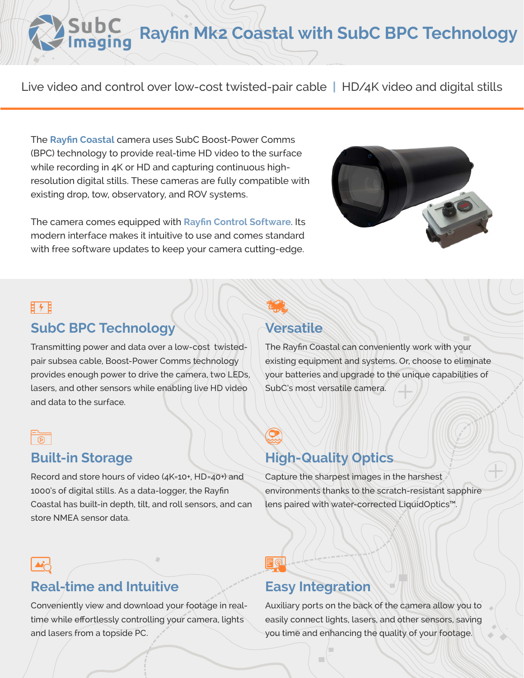# **Rayfin Mk2 Coastal with SubC BPC Technology**

Live video and control over low-cost twisted-pair cable **|** HD/4K video and digital stills

The **[Rayfin Coastal](https://www.subcimaging.com/rayfin-coastal-bpc)** camera uses SubC Boost-Power Comms (BPC) technology to provide real-time HD video to the surface while recording in 4K or HD and capturing continuous highresolution digital stills. These cameras are fully compatible with existing drop, tow, observatory, and ROV systems.

The camera comes equipped with **[Rayfin Control Software](https://www.youtube.com/watch?v=-8yuMiMAIyA)**. Its modern interface makes it intuitive to use and comes standard with free software updates to keep your camera cutting-edge.



### 日ヶ日

### **SubC BPC Technology**

Transmitting power and data over a low-cost twistedpair subsea cable, Boost-Power Comms technology provides enough power to drive the camera, two LEDs, lasers, and other sensors while enabling live HD video and data to the surface.

### $\overline{\circ}$

### **Built-in Storage**

Record and store hours of video (4K=10+, HD=40+) and 1000's of digital stills. As a data-logger, the Rayfin Coastal has built-in depth, tilt, and roll sensors, and can store NMEA sensor data.

### **Versatile**

The Rayfin Coastal can conveniently work with your existing equipment and systems. Or, choose to eliminate your batteries and upgrade to the unique capabilities of SubC's most versatile camera.

## **High-Quality Optics**

Capture the sharpest images in the harshest environments thanks to the scratch-resistant sapphire lens paired with water-corrected LiquidOptics™.

### **Real-time and Intuitive**

Conveniently view and download your footage in realtime while effortlessly controlling your camera, lights and lasers from a topside PC.

### **Easy Integration**

EQ

Auxiliary ports on the back of the camera allow you to easily connect lights, lasers, and other sensors, saving you time and enhancing the quality of your footage.